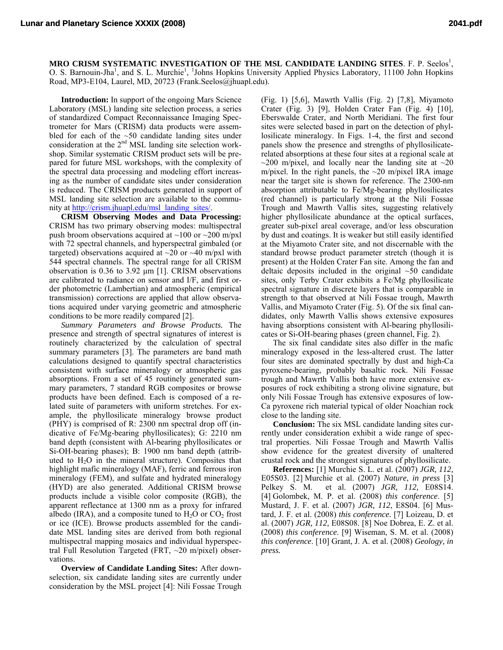MRO CRISM SYSTEMATIC INVESTIGATION OF THE MSL CANDIDATE LANDING SITES. F. P. Seelos<sup>1</sup>, O. S. Barnouin-Jha<sup>1</sup>, and S. L. Murchie<sup>1</sup>, <sup>1</sup>Johns Hopkins University Applied Physics Laboratory, 11100 John Hopkins Road, MP3-E104, Laurel, MD, 20723 (Frank.Seelos@jhuapl.edu).

**Introduction:** In support of the ongoing Mars Science Laboratory (MSL) landing site selection process, a series of standardized Compact Reconnaissance Imaging Spectrometer for Mars (CRISM) data products were assembled for each of the  $~50$  candidate landing sites under consideration at the 2<sup>nd</sup> MSL landing site selection workshop. Similar systematic CRISM product sets will be prepared for future MSL workshops, with the complexity of the spectral data processing and modeling effort increasing as the number of candidate sites under consideration is reduced. The CRISM products generated in support of MSL landing site selection are available to the community at [http://crism.jhuapl.edu/msl\\_landing\\_sites/](http://crism.jhuapl.edu/msl_landing_sites/).

**CRISM Observing Modes and Data Processing:** CRISM has two primary observing modes: multispectral push broom observations acquired at  $\sim$ 100 or  $\sim$ 200 m/pxl with 72 spectral channels, and hyperspectral gimbaled (or targeted) observations acquired at  $\sim$ 20 or  $\sim$ 40 m/pxl with 544 spectral channels. The spectral range for all CRISM observation is 0.36 to 3.92 μm [1]. CRISM observations are calibrated to radiance on sensor and I/F, and first order photometric (Lambertian) and atmospheric (empirical transmission) corrections are applied that allow observations acquired under varying geometric and atmospheric conditions to be more readily compared [2].

*Summary Parameters and Browse Products.* The presence and strength of spectral signatures of interest is routinely characterized by the calculation of spectral summary parameters [3]. The parameters are band math calculations designed to quantify spectral characteristics consistent with surface mineralogy or atmospheric gas absorptions. From a set of 45 routinely generated summary parameters, 7 standard RGB composites or browse products have been defined. Each is composed of a related suite of parameters with uniform stretches. For example, the phyllosilicate mineralogy browse product (PHY) is comprised of R: 2300 nm spectral drop off (indicative of Fe/Mg-bearing phyllosilicates); G: 2210 nm band depth (consistent with Al-bearing phyllosilicates or Si-OH-bearing phases); B: 1900 nm band depth (attributed to  $H_2O$  in the mineral structure). Composites that highlight mafic mineralogy (MAF), ferric and ferrous iron mineralogy (FEM), and sulfate and hydrated mineralogy (HYD) are also generated. Additional CRISM browse products include a visible color composite (RGB), the apparent reflectance at 1300 nm as a proxy for infrared albedo (IRA), and a composite tuned to  $H_2O$  or  $CO_2$  frost or ice (ICE). Browse products assembled for the candidate MSL landing sites are derived from both regional multispectral mapping mosaics and individual hyperspectral Full Resolution Targeted (FRT, ~20 m/pixel) observations.

**Overview of Candidate Landing Sites:** After downselection, six candidate landing sites are currently under consideration by the MSL project [4]: Nili Fossae Trough

(Fig. 1) [5,6], Mawrth Vallis (Fig. 2) [7,8], Miyamoto Crater (Fig. 3) [9], Holden Crater Fan (Fig. 4) [10], Eberswalde Crater, and North Meridiani. The first four sites were selected based in part on the detection of phyllosilicate mineralogy. In Figs. 1-4, the first and second panels show the presence and strengths of phyllosilicaterelated absorptions at these four sites at a regional scale at  $\sim$ 200 m/pixel, and locally near the landing site at  $\sim$ 20 m/pixel. In the right panels, the  $\sim$ 20 m/pixel IRA image near the target site is shown for reference. The 2300-nm absorption attributable to Fe/Mg-bearing phyllosilicates (red channel) is particularly strong at the Nili Fossae Trough and Mawrth Vallis sites, suggesting relatively higher phyllosilicate abundance at the optical surfaces, greater sub-pixel areal coverage, and/or less obscuration by dust and coatings. It is weaker but still easily identified at the Miyamoto Crater site, and not discernable with the standard browse product parameter stretch (though it is present) at the Holden Crater Fan site. Among the fan and deltaic deposits included in the original  $~50$  candidate sites, only Terby Crater exhibits a Fe/Mg phyllosilicate spectral signature in discrete layers that is comparable in strength to that observed at Nili Fossae trough, Mawrth Vallis, and Miyamoto Crater (Fig. 5). Of the six final candidates, only Mawrth Vallis shows extensive exposures having absorptions consistent with Al-bearing phyllosilicates or Si-OH-bearing phases (green channel, Fig. 2).

The six final candidate sites also differ in the mafic mineralogy exposed in the less-altered crust. The latter four sites are dominated spectrally by dust and high-Ca pyroxene-bearing, probably basaltic rock. Nili Fossae trough and Mawrth Vallis both have more extensive exposures of rock exhibiting a strong olivine signature, but only Nili Fossae Trough has extensive exposures of low-Ca pyroxene rich material typical of older Noachian rock close to the landing site.

**Conclusion:** The six MSL candidate landing sites currently under consideration exhibit a wide range of spectral properties. Nili Fossae Trough and Mawrth Vallis show evidence for the greatest diversity of unaltered crustal rock and the strongest signatures of phyllosilicate.

**References:** [1] Murchie S. L. et al. (2007) *JGR, 112,* E05S03. [2] Murchie et al. (2007) *Nature*, *in press* [3] Pelkey S. M. et al. (2007) *JGR, 112,* E08S14. [4] Golombek, M. P. et al. (2008) *this conference*. [5] Mustard, J. F. et al. (2007) *JGR, 112*, E8S04. [6] Mustard, J. F. et al. (2008) *this conference.* [7] Loizeau, D. et al. (2007) *JGR, 112,* E08S08. [8] Noe Dobrea, E. Z. et al. (2008) *this conference*. [9] Wiseman, S. M. et al. (2008) *this conference*. [10] Grant, J. A. et al. (2008) *Geology, in press.*